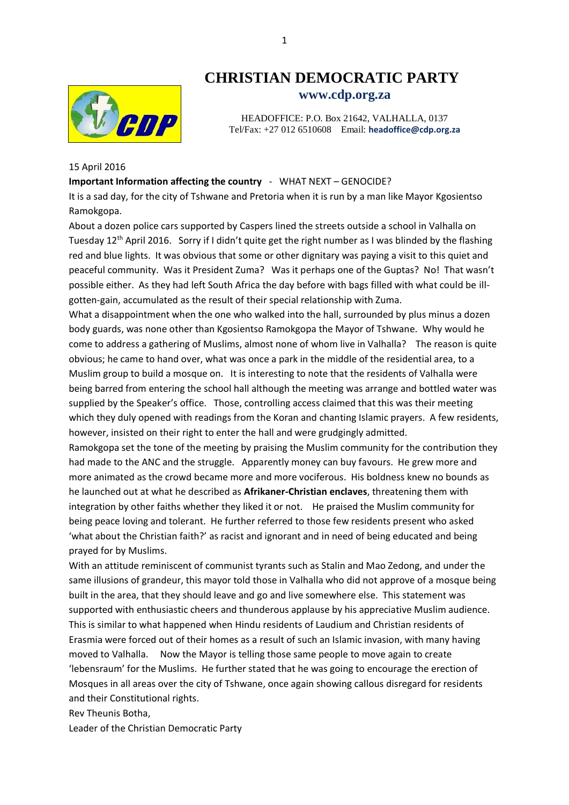

## **CHRISTIAN DEMOCRATIC PARTY [www.cdp.org.za](http://www.cdp.org.za/)**

HEADOFFICE: P.O. Box 21642, VALHALLA, 0137 Tel/Fax: +27 012 6510608 Email: **[headoffice@cdp.org.za](mailto:headoffice@cdp.org.za)**

## 15 April 2016 **Important Information affecting the country** - WHAT NEXT – GENOCIDE?

It is a sad day, for the city of Tshwane and Pretoria when it is run by a man like Mayor Kgosientso Ramokgopa.

About a dozen police cars supported by Caspers lined the streets outside a school in Valhalla on Tuesday  $12<sup>th</sup>$  April 2016. Sorry if I didn't quite get the right number as I was blinded by the flashing red and blue lights. It was obvious that some or other dignitary was paying a visit to this quiet and peaceful community. Was it President Zuma? Was it perhaps one of the Guptas? No! That wasn't possible either. As they had left South Africa the day before with bags filled with what could be illgotten-gain, accumulated as the result of their special relationship with Zuma.

What a disappointment when the one who walked into the hall, surrounded by plus minus a dozen body guards, was none other than Kgosientso Ramokgopa the Mayor of Tshwane. Why would he come to address a gathering of Muslims, almost none of whom live in Valhalla? The reason is quite obvious; he came to hand over, what was once a park in the middle of the residential area, to a Muslim group to build a mosque on. It is interesting to note that the residents of Valhalla were being barred from entering the school hall although the meeting was arrange and bottled water was supplied by the Speaker's office. Those, controlling access claimed that this was their meeting which they duly opened with readings from the Koran and chanting Islamic prayers. A few residents, however, insisted on their right to enter the hall and were grudgingly admitted.

Ramokgopa set the tone of the meeting by praising the Muslim community for the contribution they had made to the ANC and the struggle. Apparently money can buy favours. He grew more and more animated as the crowd became more and more vociferous. His boldness knew no bounds as he launched out at what he described as **Afrikaner-Christian enclaves**, threatening them with integration by other faiths whether they liked it or not. He praised the Muslim community for being peace loving and tolerant. He further referred to those few residents present who asked 'what about the Christian faith?' as racist and ignorant and in need of being educated and being prayed for by Muslims.

With an attitude reminiscent of communist tyrants such as Stalin and Mao Zedong, and under the same illusions of grandeur, this mayor told those in Valhalla who did not approve of a mosque being built in the area, that they should leave and go and live somewhere else. This statement was supported with enthusiastic cheers and thunderous applause by his appreciative Muslim audience. This is similar to what happened when Hindu residents of Laudium and Christian residents of Erasmia were forced out of their homes as a result of such an Islamic invasion, with many having moved to Valhalla. Now the Mayor is telling those same people to move again to create 'lebensraum' for the Muslims. He further stated that he was going to encourage the erection of Mosques in all areas over the city of Tshwane, once again showing callous disregard for residents and their Constitutional rights.

Rev Theunis Botha,

Leader of the Christian Democratic Party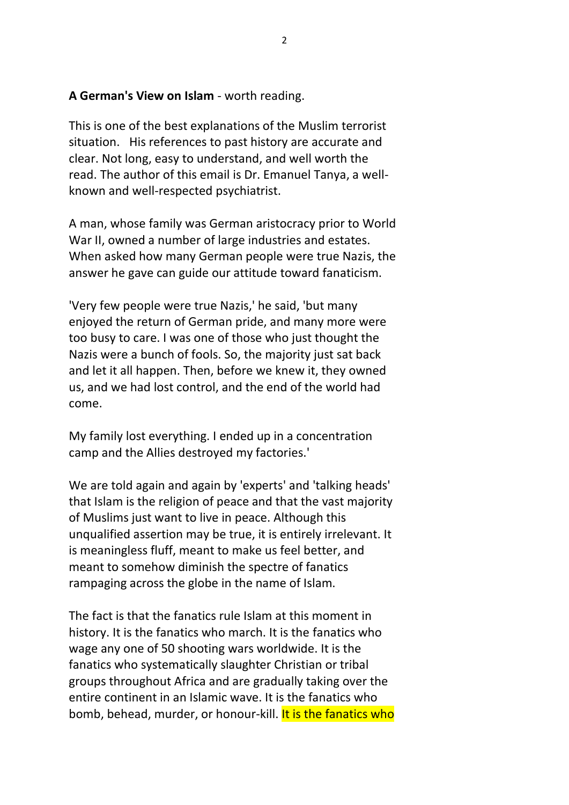## **A German's View on Islam** - worth reading.

This is one of the best explanations of the Muslim terrorist situation. His references to past history are accurate and clear. Not long, easy to understand, and well worth the read. The author of this email is Dr. Emanuel Tanya, a wellknown and well-respected psychiatrist.

A man, whose family was German aristocracy prior to World War II, owned a number of large industries and estates. When asked how many German people were true Nazis, the answer he gave can guide our attitude toward fanaticism.

'Very few people were true Nazis,' he said, 'but many enjoyed the return of German pride, and many more were too busy to care. I was one of those who just thought the Nazis were a bunch of fools. So, the majority just sat back and let it all happen. Then, before we knew it, they owned us, and we had lost control, and the end of the world had come.

My family lost everything. I ended up in a concentration camp and the Allies destroyed my factories.'

We are told again and again by 'experts' and 'talking heads' that Islam is the religion of peace and that the vast majority of Muslims just want to live in peace. Although this unqualified assertion may be true, it is entirely irrelevant. It is meaningless fluff, meant to make us feel better, and meant to somehow diminish the spectre of fanatics rampaging across the globe in the name of Islam.

The fact is that the fanatics rule Islam at this moment in history. It is the fanatics who march. It is the fanatics who wage any one of 50 shooting wars worldwide. It is the fanatics who systematically slaughter Christian or tribal groups throughout Africa and are gradually taking over the entire continent in an Islamic wave. It is the fanatics who bomb, behead, murder, or honour-kill. It is the fanatics who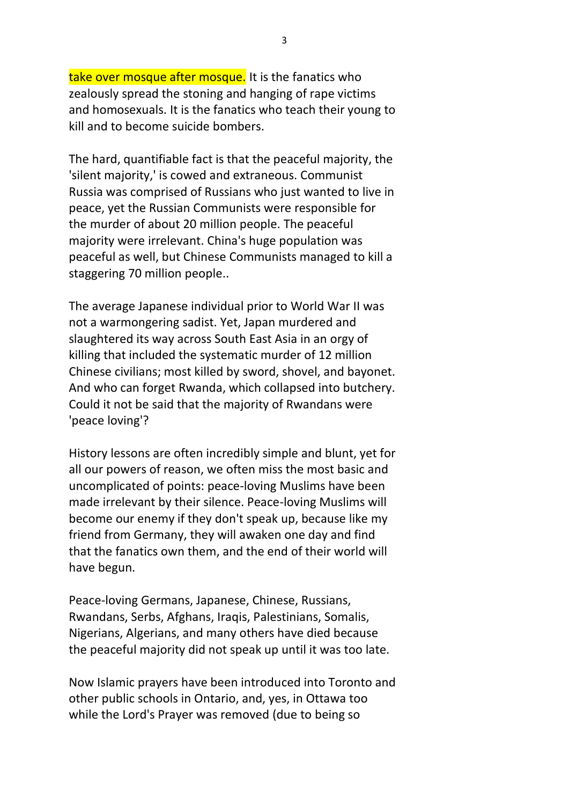take over mosque after mosque. It is the fanatics who zealously spread the stoning and hanging of rape victims and homosexuals. It is the fanatics who teach their young to kill and to become suicide bombers.

The hard, quantifiable fact is that the peaceful majority, the 'silent majority,' is cowed and extraneous. Communist Russia was comprised of Russians who just wanted to live in peace, yet the Russian Communists were responsible for the murder of about 20 million people. The peaceful majority were irrelevant. China's huge population was peaceful as well, but Chinese Communists managed to kill a staggering 70 million people..

The average Japanese individual prior to World War II was not a warmongering sadist. Yet, Japan murdered and slaughtered its way across South East Asia in an orgy of killing that included the systematic murder of 12 million Chinese civilians; most killed by sword, shovel, and bayonet. And who can forget Rwanda, which collapsed into butchery. Could it not be said that the majority of Rwandans were 'peace loving'?

History lessons are often incredibly simple and blunt, yet for all our powers of reason, we often miss the most basic and uncomplicated of points: peace-loving Muslims have been made irrelevant by their silence. Peace-loving Muslims will become our enemy if they don't speak up, because like my friend from Germany, they will awaken one day and find that the fanatics own them, and the end of their world will have begun.

Peace-loving Germans, Japanese, Chinese, Russians, Rwandans, Serbs, Afghans, Iraqis, Palestinians, Somalis, Nigerians, Algerians, and many others have died because the peaceful majority did not speak up until it was too late.

Now Islamic prayers have been introduced into Toronto and other public schools in Ontario, and, yes, in Ottawa too while the Lord's Prayer was removed (due to being so